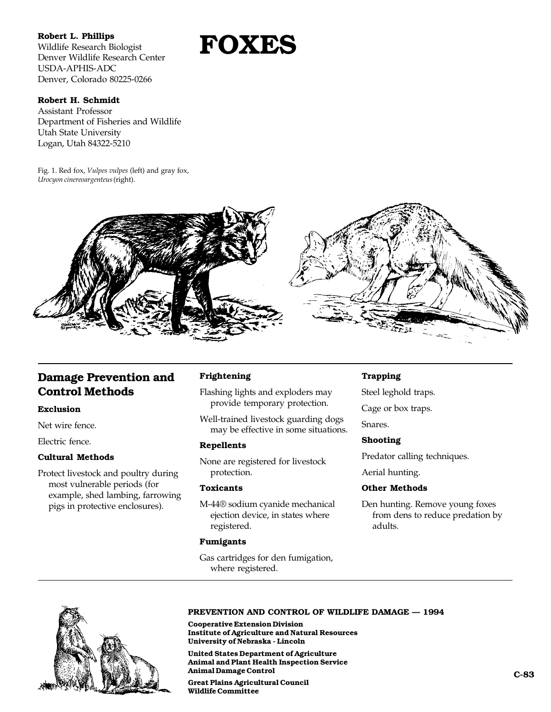



#### **Robert H. Schmidt**

Assistant Professor Department of Fisheries and Wildlife Utah State University Logan, Utah 84322-5210

Fig. 1. Red fox, *Vulpes vulpes* (left) and gray fox, *Urocyon cinereoargenteus* (right).



## **Damage Prevention and Control Methods**

### **Exclusion**

Net wire fence.

Electric fence.

### **Cultural Methods**

Protect livestock and poultry during most vulnerable periods (for example, shed lambing, farrowing pigs in protective enclosures).

### **Frightening**

Flashing lights and exploders may provide temporary protection.

Well-trained livestock guarding dogs may be effective in some situations.

### **Repellents**

None are registered for livestock protection.

#### **Toxicants**

M-44® sodium cyanide mechanical ejection device, in states where registered.

#### **Fumigants**

Gas cartridges for den fumigation, where registered.

### **Trapping**

Steel leghold traps.

Cage or box traps.

Snares.

### **Shooting**

Predator calling techniques.

Aerial hunting.

### **Other Methods**

Den hunting. Remove young foxes from dens to reduce predation by adults.



#### **PREVENTION AND CONTROL OF WILDLIFE DAMAGE — 1994**

**Cooperative Extension Division Institute of Agriculture and Natural Resources University of Nebraska - Lincoln**

**United States Department of Agriculture Animal and Plant Health Inspection Service Animal Damage Control**

**Great Plains Agricultural Council Wildlife Committee**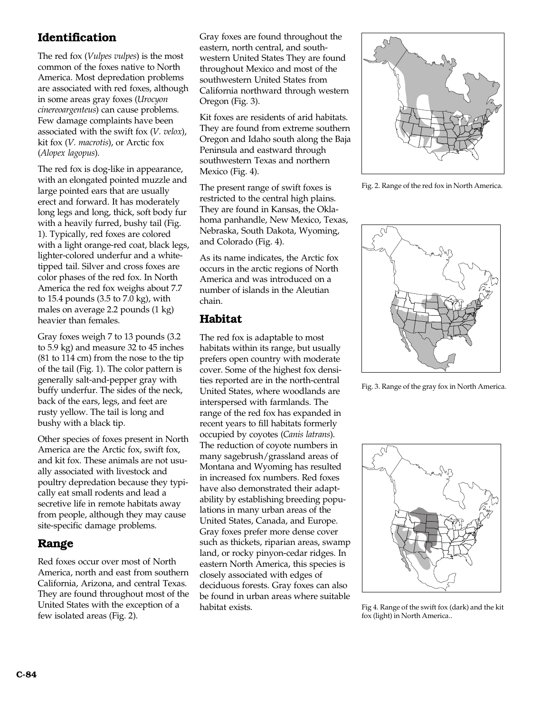# **Identification**

The red fox (*Vulpes vulpes*) is the most common of the foxes native to North America. Most depredation problems are associated with red foxes, although in some areas gray foxes (*Urocyon cinereoargenteus*) can cause problems. Few damage complaints have been associated with the swift fox (*V. velox*), kit fox (*V. macrotis*), or Arctic fox (*Alopex lagopus*).

The red fox is dog-like in appearance, with an elongated pointed muzzle and large pointed ears that are usually erect and forward. It has moderately long legs and long, thick, soft body fur with a heavily furred, bushy tail (Fig. 1). Typically, red foxes are colored with a light orange-red coat, black legs, lighter-colored underfur and a whitetipped tail. Silver and cross foxes are color phases of the red fox. In North America the red fox weighs about 7.7 to 15.4 pounds (3.5 to 7.0 kg), with males on average 2.2 pounds (1 kg) heavier than females.

Gray foxes weigh 7 to 13 pounds (3.2 to 5.9 kg) and measure 32 to 45 inches (81 to 114 cm) from the nose to the tip of the tail (Fig. 1). The color pattern is generally salt-and-pepper gray with buffy underfur. The sides of the neck, back of the ears, legs, and feet are rusty yellow. The tail is long and bushy with a black tip.

Other species of foxes present in North America are the Arctic fox, swift fox, and kit fox. These animals are not usually associated with livestock and poultry depredation because they typically eat small rodents and lead a secretive life in remote habitats away from people, although they may cause site-specific damage problems.

### **Range**

Red foxes occur over most of North America, north and east from southern California, Arizona, and central Texas. They are found throughout most of the United States with the exception of a few isolated areas (Fig. 2).

Gray foxes are found throughout the eastern, north central, and southwestern United States They are found throughout Mexico and most of the southwestern United States from California northward through western Oregon (Fig. 3).

Kit foxes are residents of arid habitats. They are found from extreme southern Oregon and Idaho south along the Baja Peninsula and eastward through southwestern Texas and northern Mexico (Fig. 4).

The present range of swift foxes is restricted to the central high plains. They are found in Kansas, the Oklahoma panhandle, New Mexico, Texas, Nebraska, South Dakota, Wyoming, and Colorado (Fig. 4).

As its name indicates, the Arctic fox occurs in the arctic regions of North America and was introduced on a number of islands in the Aleutian chain.

## **Habitat**

The red fox is adaptable to most habitats within its range, but usually prefers open country with moderate cover. Some of the highest fox densities reported are in the north-central United States, where woodlands are interspersed with farmlands. The range of the red fox has expanded in recent years to fill habitats formerly occupied by coyotes (*Canis latrans*). The reduction of coyote numbers in many sagebrush/grassland areas of Montana and Wyoming has resulted in increased fox numbers. Red foxes have also demonstrated their adaptability by establishing breeding populations in many urban areas of the United States, Canada, and Europe. Gray foxes prefer more dense cover such as thickets, riparian areas, swamp land, or rocky pinyon-cedar ridges. In eastern North America, this species is closely associated with edges of deciduous forests. Gray foxes can also be found in urban areas where suitable habitat exists.



Fig. 2. Range of the red fox in North America.







Fig 4. Range of the swift fox (dark) and the kit fox (light) in North America..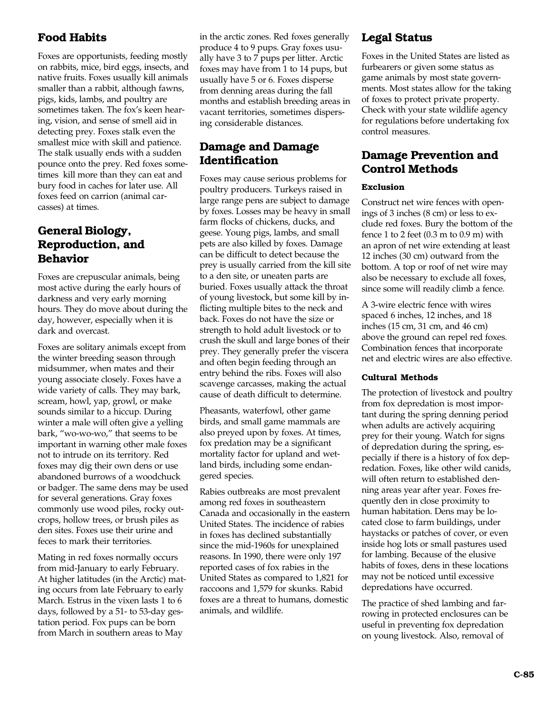## **Food Habits**

Foxes are opportunists, feeding mostly on rabbits, mice, bird eggs, insects, and native fruits. Foxes usually kill animals smaller than a rabbit, although fawns, pigs, kids, lambs, and poultry are sometimes taken. The fox's keen hearing, vision, and sense of smell aid in detecting prey. Foxes stalk even the smallest mice with skill and patience. The stalk usually ends with a sudden pounce onto the prey. Red foxes sometimes kill more than they can eat and bury food in caches for later use. All foxes feed on carrion (animal carcasses) at times.

# **General Biology, Reproduction, and Behavior**

Foxes are crepuscular animals, being most active during the early hours of darkness and very early morning hours. They do move about during the day, however, especially when it is dark and overcast.

Foxes are solitary animals except from the winter breeding season through midsummer, when mates and their young associate closely. Foxes have a wide variety of calls. They may bark, scream, howl, yap, growl, or make sounds similar to a hiccup. During winter a male will often give a yelling bark, "wo-wo-wo," that seems to be important in warning other male foxes not to intrude on its territory. Red foxes may dig their own dens or use abandoned burrows of a woodchuck or badger. The same dens may be used for several generations. Gray foxes commonly use wood piles, rocky outcrops, hollow trees, or brush piles as den sites. Foxes use their urine and feces to mark their territories.

Mating in red foxes normally occurs from mid-January to early February. At higher latitudes (in the Arctic) mating occurs from late February to early March. Estrus in the vixen lasts 1 to 6 days, followed by a 51- to 53-day gestation period. Fox pups can be born from March in southern areas to May

in the arctic zones. Red foxes generally produce 4 to 9 pups. Gray foxes usually have 3 to 7 pups per litter. Arctic foxes may have from 1 to 14 pups, but usually have 5 or 6. Foxes disperse from denning areas during the fall months and establish breeding areas in vacant territories, sometimes dispersing considerable distances.

## **Damage and Damage Identification**

Foxes may cause serious problems for poultry producers. Turkeys raised in large range pens are subject to damage by foxes. Losses may be heavy in small farm flocks of chickens, ducks, and geese. Young pigs, lambs, and small pets are also killed by foxes. Damage can be difficult to detect because the prey is usually carried from the kill site to a den site, or uneaten parts are buried. Foxes usually attack the throat of young livestock, but some kill by inflicting multiple bites to the neck and back. Foxes do not have the size or strength to hold adult livestock or to crush the skull and large bones of their prey. They generally prefer the viscera and often begin feeding through an entry behind the ribs. Foxes will also scavenge carcasses, making the actual cause of death difficult to determine.

Pheasants, waterfowl, other game birds, and small game mammals are also preyed upon by foxes. At times, fox predation may be a significant mortality factor for upland and wetland birds, including some endangered species.

Rabies outbreaks are most prevalent among red foxes in southeastern Canada and occasionally in the eastern United States. The incidence of rabies in foxes has declined substantially since the mid-1960s for unexplained reasons. In 1990, there were only 197 reported cases of fox rabies in the United States as compared to 1,821 for raccoons and 1,579 for skunks. Rabid foxes are a threat to humans, domestic animals, and wildlife.

### **Legal Status**

Foxes in the United States are listed as furbearers or given some status as game animals by most state governments. Most states allow for the taking of foxes to protect private property. Check with your state wildlife agency for regulations before undertaking fox control measures.

## **Damage Prevention and Control Methods**

### **Exclusion**

Construct net wire fences with openings of 3 inches (8 cm) or less to exclude red foxes. Bury the bottom of the fence  $1$  to  $2$  feet  $(0.3 \text{ m to } 0.9 \text{ m})$  with an apron of net wire extending at least 12 inches (30 cm) outward from the bottom. A top or roof of net wire may also be necessary to exclude all foxes, since some will readily climb a fence.

A 3-wire electric fence with wires spaced 6 inches, 12 inches, and 18 inches (15 cm, 31 cm, and 46 cm) above the ground can repel red foxes. Combination fences that incorporate net and electric wires are also effective.

### **Cultural Methods**

The protection of livestock and poultry from fox depredation is most important during the spring denning period when adults are actively acquiring prey for their young. Watch for signs of depredation during the spring, especially if there is a history of fox depredation. Foxes, like other wild canids, will often return to established denning areas year after year. Foxes frequently den in close proximity to human habitation. Dens may be located close to farm buildings, under haystacks or patches of cover, or even inside hog lots or small pastures used for lambing. Because of the elusive habits of foxes, dens in these locations may not be noticed until excessive depredations have occurred.

The practice of shed lambing and farrowing in protected enclosures can be useful in preventing fox depredation on young livestock. Also, removal of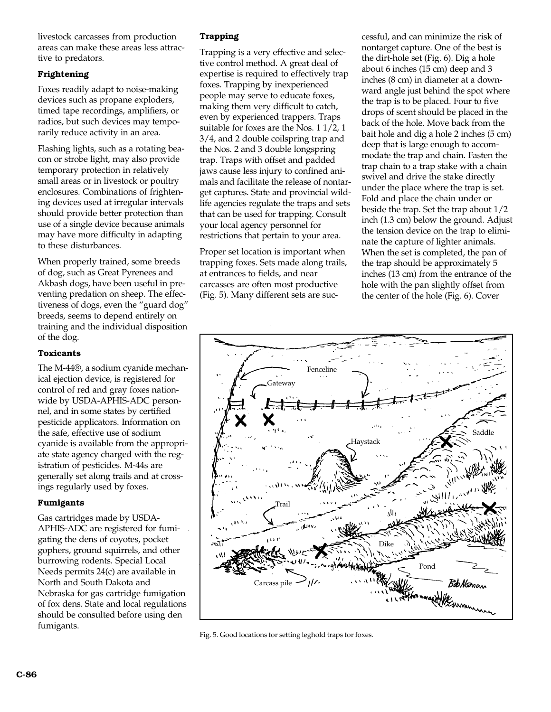livestock carcasses from production areas can make these areas less attractive to predators.

### **Frightening**

Foxes readily adapt to noise-making devices such as propane exploders, timed tape recordings, amplifiers, or radios, but such devices may temporarily reduce activity in an area.

Flashing lights, such as a rotating beacon or strobe light, may also provide temporary protection in relatively small areas or in livestock or poultry enclosures. Combinations of frightening devices used at irregular intervals should provide better protection than use of a single device because animals may have more difficulty in adapting to these disturbances.

When properly trained, some breeds of dog, such as Great Pyrenees and Akbash dogs, have been useful in preventing predation on sheep. The effectiveness of dogs, even the "guard dog" breeds, seems to depend entirely on training and the individual disposition of the dog.

### **Toxicants**

The M-44®, a sodium cyanide mechanical ejection device, is registered for control of red and gray foxes nationwide by USDA-APHIS-ADC personnel, and in some states by certified pesticide applicators. Information on the safe, effective use of sodium cyanide is available from the appropriate state agency charged with the registration of pesticides. M-44s are generally set along trails and at crossings regularly used by foxes.

### **Fumigants**

Gas cartridges made by USDA-APHIS-ADC are registered for fumigating the dens of coyotes, pocket gophers, ground squirrels, and other burrowing rodents. Special Local Needs permits 24(c) are available in North and South Dakota and Nebraska for gas cartridge fumigation of fox dens. State and local regulations should be consulted before using den fumigants.

### **Trapping**

Trapping is a very effective and selective control method. A great deal of expertise is required to effectively trap foxes. Trapping by inexperienced people may serve to educate foxes, making them very difficult to catch, even by experienced trappers. Traps suitable for foxes are the Nos. 1 1/2, 1 3/4, and 2 double coilspring trap and the Nos. 2 and 3 double longspring trap. Traps with offset and padded jaws cause less injury to confined animals and facilitate the release of nontarget captures. State and provincial wildlife agencies regulate the traps and sets that can be used for trapping. Consult your local agency personnel for restrictions that pertain to your area.

Proper set location is important when trapping foxes. Sets made along trails, at entrances to fields, and near carcasses are often most productive (Fig. 5). Many different sets are suc-

cessful, and can minimize the risk of nontarget capture. One of the best is the dirt-hole set (Fig. 6). Dig a hole about 6 inches (15 cm) deep and 3 inches (8 cm) in diameter at a downward angle just behind the spot where the trap is to be placed. Four to five drops of scent should be placed in the back of the hole. Move back from the bait hole and dig a hole 2 inches (5 cm) deep that is large enough to accommodate the trap and chain. Fasten the trap chain to a trap stake with a chain swivel and drive the stake directly under the place where the trap is set. Fold and place the chain under or beside the trap. Set the trap about 1/2 inch (1.3 cm) below the ground. Adjust the tension device on the trap to eliminate the capture of lighter animals. When the set is completed, the pan of the trap should be approximately 5 inches (13 cm) from the entrance of the hole with the pan slightly offset from the center of the hole (Fig. 6). Cover



Fig. 5. Good locations for setting leghold traps for foxes.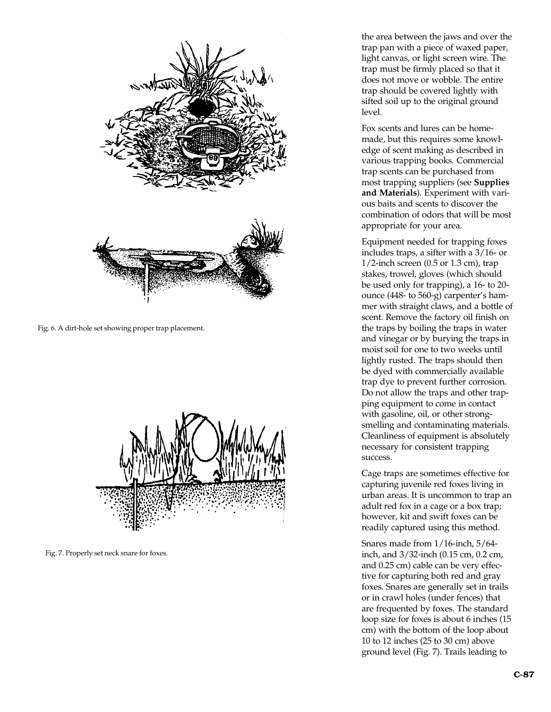

Fig. 6. A dirt-hole set showing proper trap placement.



Fig. 7. Properly set neck snare for foxes.

the area between the jaws and over the trap pan with a piece of waxed paper, light canvas, or light screen wire. The trap must be firmly placed so that it does not move or wobble. The entire trap should be covered lightly with sifted soil up to the original ground level.

Fox scents and lures can be homemade, but this requires some knowledge of scent making as described in various trapping books. Commercial trap scents can be purchased from most trapping suppliers (see **Supplies and Materials**). Experiment with various baits and scents to discover the combination of odors that will be most appropriate for your area.

Equipment needed for trapping foxes includes traps, a sifter with a 3/16- or  $1/2$ -inch screen  $(0.5 \text{ or } 1.3 \text{ cm})$ , trap stakes, trowel, gloves (which should be used only for trapping), a 16- to 20 ounce (448- to 560-g) carpenter's hammer with straight claws, and a bottle of scent. Remove the factory oil finish on the traps by boiling the traps in water and vinegar or by burying the traps in moist soil for one to two weeks until lightly rusted. The traps should then be dyed with commercially available trap dye to prevent further corrosion. Do not allow the traps and other trapping equipment to come in contact with gasoline, oil, or other strongsmelling and contaminating materials. Cleanliness of equipment is absolutely necessary for consistent trapping success.

Cage traps are sometimes effective for capturing juvenile red foxes living in urban areas. It is uncommon to trap an adult red fox in a cage or a box trap; however, kit and swift foxes can be readily captured using this method.

Snares made from 1/16-inch, 5/64 inch, and 3/32-inch (0.15 cm, 0.2 cm, and 0.25 cm) cable can be very effective for capturing both red and gray foxes. Snares are generally set in trails or in crawl holes (under fences) that are frequented by foxes. The standard loop size for foxes is about 6 inches (15 cm) with the bottom of the loop about 10 to 12 inches (25 to 30 cm) above ground level (Fig. 7). Trails leading to